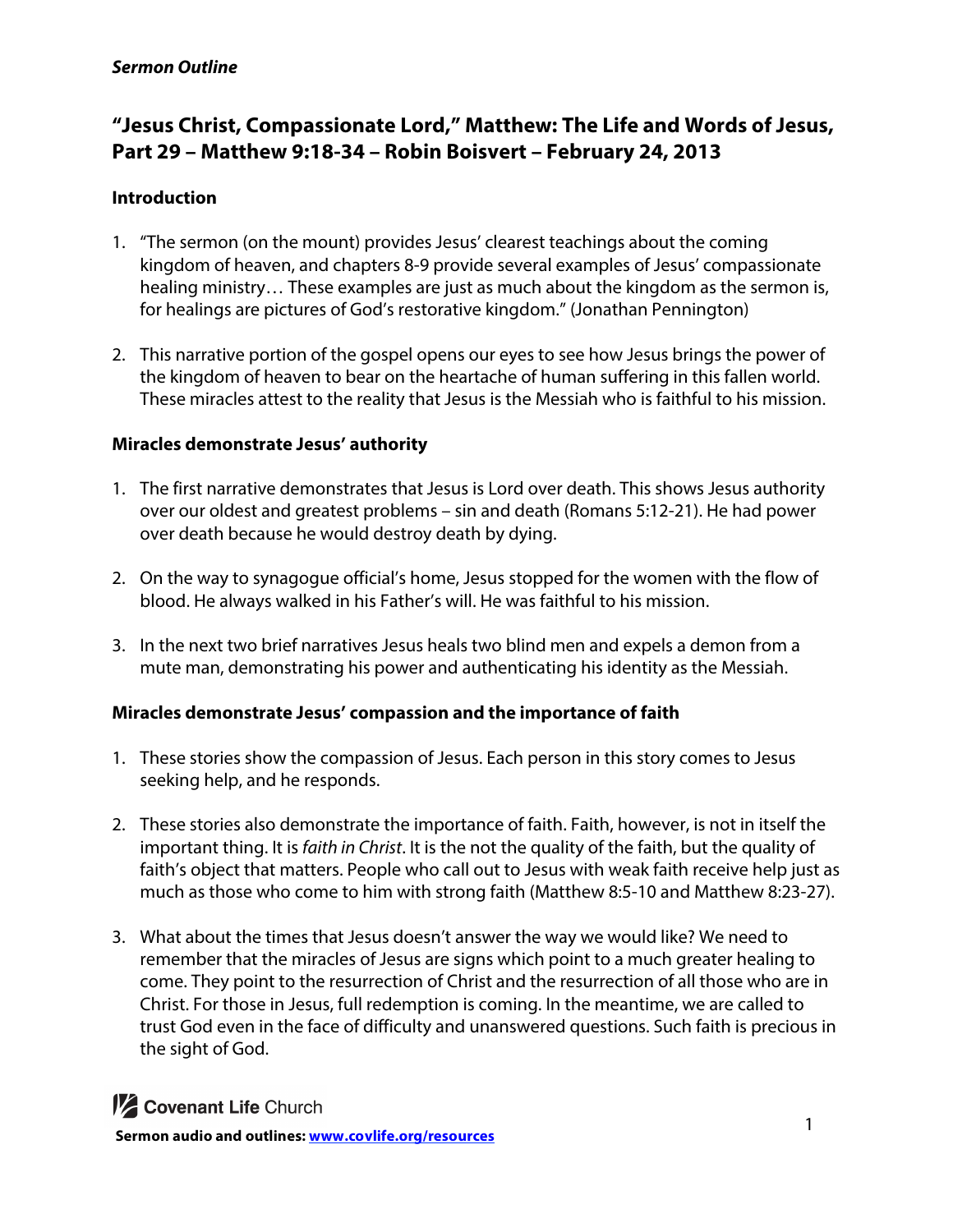# **"Jesus Christ, Compassionate Lord," Matthew: The Life and Words of Jesus, Part 29 – Matthew 9:18-34 – Robin Boisvert – February 24, 2013**

## **Introduction**

- 1. "The sermon (on the mount) provides Jesus' clearest teachings about the coming kingdom of heaven, and chapters 8-9 provide several examples of Jesus' compassionate healing ministry… These examples are just as much about the kingdom as the sermon is, for healings are pictures of God's restorative kingdom." (Jonathan Pennington)
- 2. This narrative portion of the gospel opens our eyes to see how Jesus brings the power of the kingdom of heaven to bear on the heartache of human suffering in this fallen world. These miracles attest to the reality that Jesus is the Messiah who is faithful to his mission.

### **Miracles demonstrate Jesus' authority**

- 1. The first narrative demonstrates that Jesus is Lord over death. This shows Jesus authority over our oldest and greatest problems – sin and death (Romans 5:12-21). He had power over death because he would destroy death by dying.
- 2. On the way to synagogue official's home, Jesus stopped for the women with the flow of blood. He always walked in his Father's will. He was faithful to his mission.
- 3. In the next two brief narratives Jesus heals two blind men and expels a demon from a mute man, demonstrating his power and authenticating his identity as the Messiah.

## **Miracles demonstrate Jesus' compassion and the importance of faith**

- 1. These stories show the compassion of Jesus. Each person in this story comes to Jesus seeking help, and he responds.
- 2. These stories also demonstrate the importance of faith. Faith, however, is not in itself the important thing. It is *faith in Christ*. It is the not the quality of the faith, but the quality of faith's object that matters. People who call out to Jesus with weak faith receive help just as much as those who come to him with strong faith (Matthew 8:5-10 and Matthew 8:23-27).
- 3. What about the times that Jesus doesn't answer the way we would like? We need to remember that the miracles of Jesus are signs which point to a much greater healing to come. They point to the resurrection of Christ and the resurrection of all those who are in Christ. For those in Jesus, full redemption is coming. In the meantime, we are called to trust God even in the face of difficulty and unanswered questions. Such faith is precious in the sight of God.



**1/2 Covenant Life Church**<br> **1** Sermon audio and outlines: www.covlife.org/resources